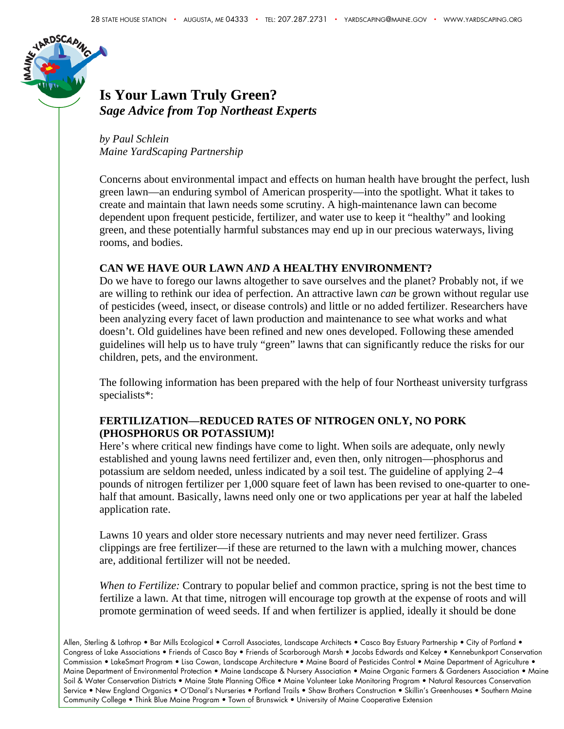

## **Is Your Lawn Truly Green?**  *Sage Advice from Top Northeast Experts*

*by Paul Schlein Maine YardScaping Partnership* 

Concerns about environmental impact and effects on human health have brought the perfect, lush green lawn—an enduring symbol of American prosperity—into the spotlight. What it takes to create and maintain that lawn needs some scrutiny. A high-maintenance lawn can become dependent upon frequent pesticide, fertilizer, and water use to keep it "healthy" and looking green, and these potentially harmful substances may end up in our precious waterways, living rooms, and bodies.

#### **CAN WE HAVE OUR LAWN** *AND* **A HEALTHY ENVIRONMENT?**

Do we have to forego our lawns altogether to save ourselves and the planet? Probably not, if we are willing to rethink our idea of perfection. An attractive lawn *can* be grown without regular use of pesticides (weed, insect, or disease controls) and little or no added fertilizer. Researchers have been analyzing every facet of lawn production and maintenance to see what works and what doesn't. Old guidelines have been refined and new ones developed. Following these amended guidelines will help us to have truly "green" lawns that can significantly reduce the risks for our children, pets, and the environment.

The following information has been prepared with the help of four Northeast university turfgrass specialists\*:

#### **FERTILIZATION—REDUCED RATES OF NITROGEN ONLY, NO PORK (PHOSPHORUS OR POTASSIUM)!**

Here's where critical new findings have come to light. When soils are adequate, only newly established and young lawns need fertilizer and, even then, only nitrogen—phosphorus and potassium are seldom needed, unless indicated by a soil test. The guideline of applying 2–4 pounds of nitrogen fertilizer per 1,000 square feet of lawn has been revised to one-quarter to onehalf that amount. Basically, lawns need only one or two applications per year at half the labeled application rate.

Lawns 10 years and older store necessary nutrients and may never need fertilizer. Grass clippings are free fertilizer—if these are returned to the lawn with a mulching mower, chances are, additional fertilizer will not be needed.

*When to Fertilize:* Contrary to popular belief and common practice, spring is not the best time to fertilize a lawn. At that time, nitrogen will encourage top growth at the expense of roots and will promote germination of weed seeds. If and when fertilizer is applied, ideally it should be done

Allen, Sterling & Lothrop • Bar Mills Ecological • Carroll Associates, Landscape Architects • Casco Bay Estuary Partnership • City of Portland • Congress of Lake Associations • Friends of Casco Bay • Friends of Scarborough Marsh • Jacobs Edwards and Kelcey • Kennebunkport Conservation Commission • LakeSmart Program • Lisa Cowan, Landscape Architecture • Maine Board of Pesticides Control • Maine Department of Agriculture • Maine Department of Environmental Protection • Maine Landscape & Nursery Association • Maine Organic Farmers & Gardeners Association • Maine Soil & Water Conservation Districts • Maine State Planning Office • Maine Volunteer Lake Monitoring Program • Natural Resources Conservation Service • New England Organics • O'Donal's Nurseries • Portland Trails • Shaw Brothers Construction • Skillin's Greenhouses • Southern Maine Community College • Think Blue Maine Program • Town of Brunswick • University of Maine Cooperative Extension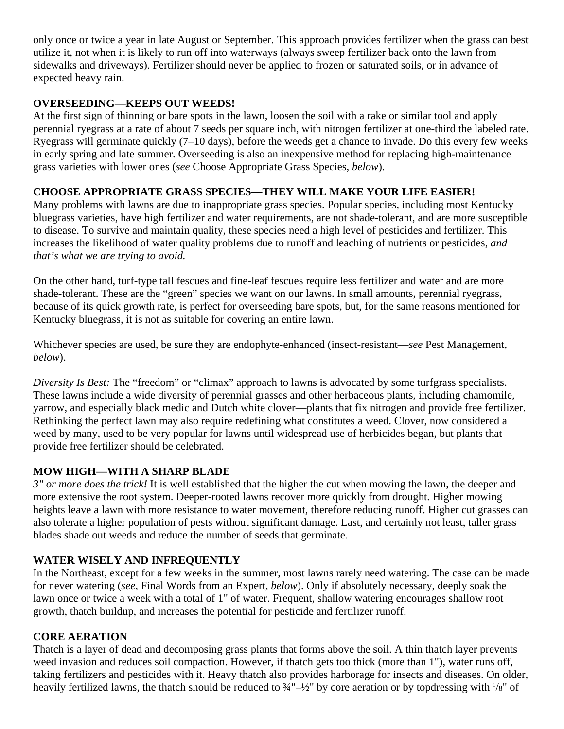only once or twice a year in late August or September. This approach provides fertilizer when the grass can best utilize it, not when it is likely to run off into waterways (always sweep fertilizer back onto the lawn from sidewalks and driveways). Fertilizer should never be applied to frozen or saturated soils, or in advance of expected heavy rain.

### **OVERSEEDING—KEEPS OUT WEEDS!**

At the first sign of thinning or bare spots in the lawn, loosen the soil with a rake or similar tool and apply perennial ryegrass at a rate of about 7 seeds per square inch, with nitrogen fertilizer at one-third the labeled rate. Ryegrass will germinate quickly (7–10 days), before the weeds get a chance to invade. Do this every few weeks in early spring and late summer. Overseeding is also an inexpensive method for replacing high-maintenance grass varieties with lower ones (*see* Choose Appropriate Grass Species*, below*).

## **CHOOSE APPROPRIATE GRASS SPECIES—THEY WILL MAKE YOUR LIFE EASIER!**

Many problems with lawns are due to inappropriate grass species. Popular species, including most Kentucky bluegrass varieties, have high fertilizer and water requirements, are not shade-tolerant, and are more susceptible to disease. To survive and maintain quality, these species need a high level of pesticides and fertilizer. This increases the likelihood of water quality problems due to runoff and leaching of nutrients or pesticides, *and that's what we are trying to avoid.* 

On the other hand, turf-type tall fescues and fine-leaf fescues require less fertilizer and water and are more shade-tolerant. These are the "green" species we want on our lawns. In small amounts, perennial ryegrass, because of its quick growth rate, is perfect for overseeding bare spots, but, for the same reasons mentioned for Kentucky bluegrass, it is not as suitable for covering an entire lawn.

Whichever species are used, be sure they are endophyte-enhanced (insect-resistant—*see* Pest Management*, below*).

*Diversity Is Best:* The "freedom" or "climax" approach to lawns is advocated by some turfgrass specialists. These lawns include a wide diversity of perennial grasses and other herbaceous plants, including chamomile, yarrow, and especially black medic and Dutch white clover—plants that fix nitrogen and provide free fertilizer. Rethinking the perfect lawn may also require redefining what constitutes a weed. Clover, now considered a weed by many, used to be very popular for lawns until widespread use of herbicides began, but plants that provide free fertilizer should be celebrated.

## **MOW HIGH—WITH A SHARP BLADE**

*3" or more does the trick!* It is well established that the higher the cut when mowing the lawn, the deeper and more extensive the root system. Deeper-rooted lawns recover more quickly from drought. Higher mowing heights leave a lawn with more resistance to water movement, therefore reducing runoff. Higher cut grasses can also tolerate a higher population of pests without significant damage. Last, and certainly not least, taller grass blades shade out weeds and reduce the number of seeds that germinate.

## **WATER WISELY AND INFREQUENTLY**

In the Northeast, except for a few weeks in the summer, most lawns rarely need watering. The case can be made for never watering (*see,* Final Words from an Expert*, below*). Only if absolutely necessary, deeply soak the lawn once or twice a week with a total of 1" of water. Frequent, shallow watering encourages shallow root growth, thatch buildup, and increases the potential for pesticide and fertilizer runoff.

#### **CORE AERATION**

Thatch is a layer of dead and decomposing grass plants that forms above the soil. A thin thatch layer prevents weed invasion and reduces soil compaction. However, if thatch gets too thick (more than 1"), water runs off, taking fertilizers and pesticides with it. Heavy thatch also provides harborage for insects and diseases. On older, heavily fertilized lawns, the thatch should be reduced to  $\frac{3}{4}$ "- $\frac{1}{2}$ " by core aeration or by topdressing with  $\frac{1}{8}$ " of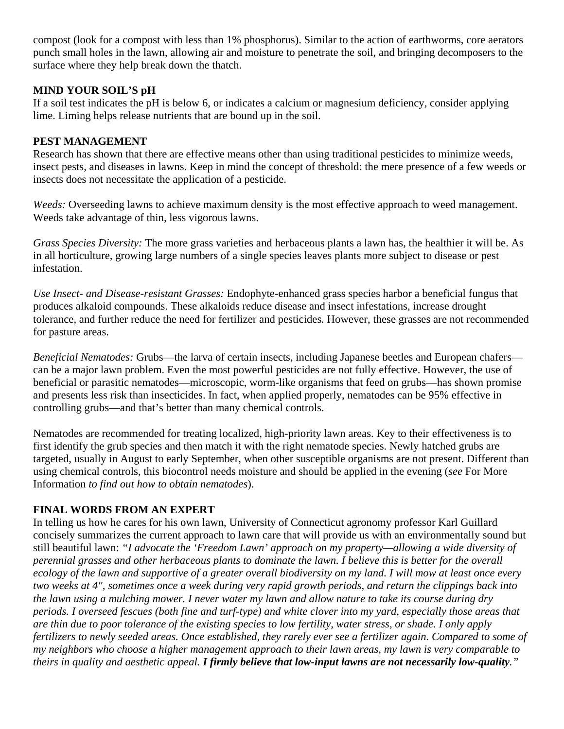compost (look for a compost with less than 1% phosphorus). Similar to the action of earthworms, core aerators punch small holes in the lawn, allowing air and moisture to penetrate the soil, and bringing decomposers to the surface where they help break down the thatch.

### **MIND YOUR SOIL'S pH**

If a soil test indicates the pH is below 6, or indicates a calcium or magnesium deficiency, consider applying lime. Liming helps release nutrients that are bound up in the soil.

#### **PEST MANAGEMENT**

Research has shown that there are effective means other than using traditional pesticides to minimize weeds, insect pests, and diseases in lawns. Keep in mind the concept of threshold: the mere presence of a few weeds or insects does not necessitate the application of a pesticide.

*Weeds:* Overseeding lawns to achieve maximum density is the most effective approach to weed management. Weeds take advantage of thin, less vigorous lawns.

*Grass Species Diversity:* The more grass varieties and herbaceous plants a lawn has, the healthier it will be. As in all horticulture, growing large numbers of a single species leaves plants more subject to disease or pest infestation.

*Use Insect- and Disease-resistant Grasses:* Endophyte-enhanced grass species harbor a beneficial fungus that produces alkaloid compounds. These alkaloids reduce disease and insect infestations, increase drought tolerance, and further reduce the need for fertilizer and pesticides*.* However, these grasses are not recommended for pasture areas.

*Beneficial Nematodes:* Grubs—the larva of certain insects, including Japanese beetles and European chafers can be a major lawn problem. Even the most powerful pesticides are not fully effective. However, the use of beneficial or parasitic nematodes—microscopic, worm-like organisms that feed on grubs—has shown promise and presents less risk than insecticides. In fact, when applied properly, nematodes can be 95% effective in controlling grubs—and that's better than many chemical controls.

Nematodes are recommended for treating localized, high-priority lawn areas. Key to their effectiveness is to first identify the grub species and then match it with the right nematode species. Newly hatched grubs are targeted, usually in August to early September, when other susceptible organisms are not present. Different than using chemical controls, this biocontrol needs moisture and should be applied in the evening (*see* For More Information *to find out how to obtain nematodes*)*.* 

## **FINAL WORDS FROM AN EXPERT**

In telling us how he cares for his own lawn, University of Connecticut agronomy professor Karl Guillard concisely summarizes the current approach to lawn care that will provide us with an environmentally sound but still beautiful lawn: *"I advocate the 'Freedom Lawn' approach on my property—allowing a wide diversity of perennial grasses and other herbaceous plants to dominate the lawn. I believe this is better for the overall ecology of the lawn and supportive of a greater overall biodiversity on my land. I will mow at least once every two weeks at 4", sometimes once a week during very rapid growth periods, and return the clippings back into the lawn using a mulching mower. I never water my lawn and allow nature to take its course during dry periods. I overseed fescues (both fine and turf-type) and white clover into my yard, especially those areas that are thin due to poor tolerance of the existing species to low fertility, water stress, or shade. I only apply fertilizers to newly seeded areas. Once established, they rarely ever see a fertilizer again. Compared to some of my neighbors who choose a higher management approach to their lawn areas, my lawn is very comparable to theirs in quality and aesthetic appeal. I firmly believe that low-input lawns are not necessarily low-quality."*